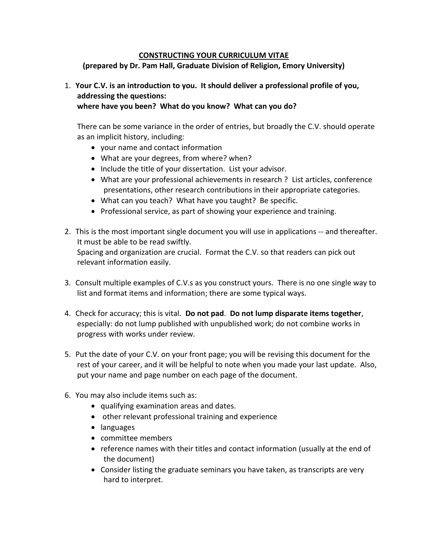## **CONSTRUCTING YOUR CURRICULUM VITAE**

**(prepared by Dr. Pam Hall, Graduate Division of Religion, Emory University)**

## 1. **Your C.V. is an introduction to you. It should deliver a professional profile of you, addressing the questions:**

**where have you been? What do you know? What can you do?** 

There can be some variance in the order of entries, but broadly the C.V. should operate as an implicit history, including:

- your name and contact information
- What are your degrees, from where? when?
- Include the title of your dissertation. List your advisor.
- What are your professional achievements in research ? List articles, conference presentations, other research contributions in their appropriate categories.
- What can you teach? What have you taught? Be specific.
- Professional service, as part of showing your experience and training.
- 2. This is the most important single document you will use in applications -- and thereafter. It must be able to be read swiftly. Spacing and organization are crucial. Format the C.V. so that readers can pick out relevant information easily.
- 3. Consult multiple examples of C.V.s as you construct yours. There is no one single way to list and format items and information; there are some typical ways.
- 4. Check for accuracy; this is vital. **Do not pad**. **Do not lump disparate items together**, especially: do not lump published with unpublished work; do not combine works in progress with works under review.
- 5. Put the date of your C.V. on your front page; you will be revising this document for the rest of your career, and it will be helpful to note when you made your last update. Also, put your name and page number on each page of the document.
- 6. You may also include items such as:
	- qualifying examination areas and dates.
	- other relevant professional training and experience
	- languages
	- committee members
	- reference names with their titles and contact information (usually at the end of the document)
	- Consider listing the graduate seminars you have taken, as transcripts are very hard to interpret.